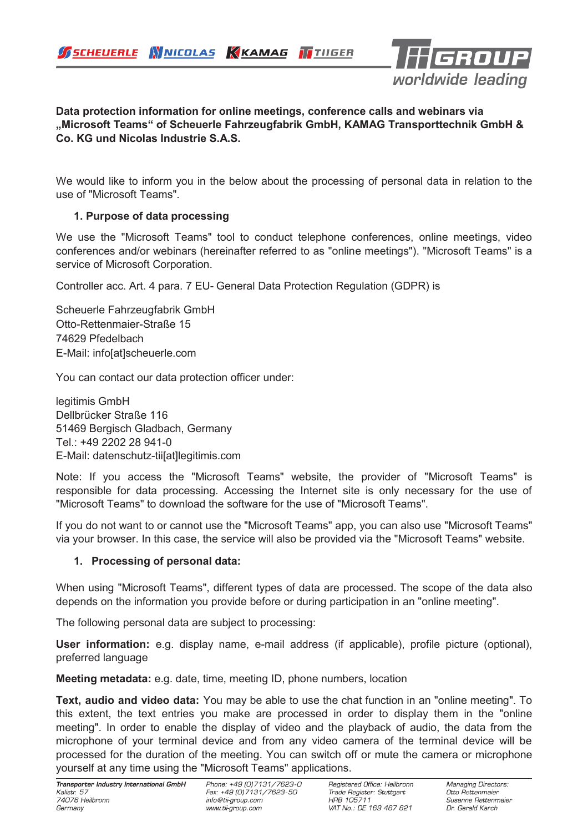

### **Data protection information for online meetings, conference calls and webinars via "Microsoft Teams" of Scheuerle Fahrzeugfabrik GmbH, KAMAG Transporttechnik GmbH & Co. KG und Nicolas Industrie S.A.S.**

We would like to inform you in the below about the processing of personal data in relation to the use of "Microsoft Teams".

# **1. Purpose of data processing**

We use the "Microsoft Teams" tool to conduct telephone conferences, online meetings, video conferences and/or webinars (hereinafter referred to as "online meetings"). "Microsoft Teams" is a service of Microsoft Corporation.

Controller acc. Art. 4 para. 7 EU- General Data Protection Regulation (GDPR) is

Scheuerle Fahrzeugfabrik GmbH Otto-Rettenmaier-Straße 15 74629 Pfedelbach E-Mail: info[at]scheuerle.com

You can contact our data protection officer under:

legitimis GmbH Dellbrücker Straße 116 51469 Bergisch Gladbach, Germany Tel.: +49 2202 28 941-0 E-Mail: datenschutz-tii[at]legitimis.com

Note: If you access the "Microsoft Teams" website, the provider of "Microsoft Teams" is responsible for data processing. Accessing the Internet site is only necessary for the use of "Microsoft Teams" to download the software for the use of "Microsoft Teams".

If you do not want to or cannot use the "Microsoft Teams" app, you can also use "Microsoft Teams" via your browser. In this case, the service will also be provided via the "Microsoft Teams" website.

# **1. Processing of personal data:**

When using "Microsoft Teams", different types of data are processed. The scope of the data also depends on the information you provide before or during participation in an "online meeting".

The following personal data are subject to processing:

**User information:** e.g. display name, e-mail address (if applicable), profile picture (optional), preferred language

**Meeting metadata:** e.g. date, time, meeting ID, phone numbers, location

**Text, audio and video data:** You may be able to use the chat function in an "online meeting". To this extent, the text entries you make are processed in order to display them in the "online meeting". In order to enable the display of video and the playback of audio, the data from the microphone of your terminal device and from any video camera of the terminal device will be processed for the duration of the meeting. You can switch off or mute the camera or microphone yourself at any time using the "Microsoft Teams" applications.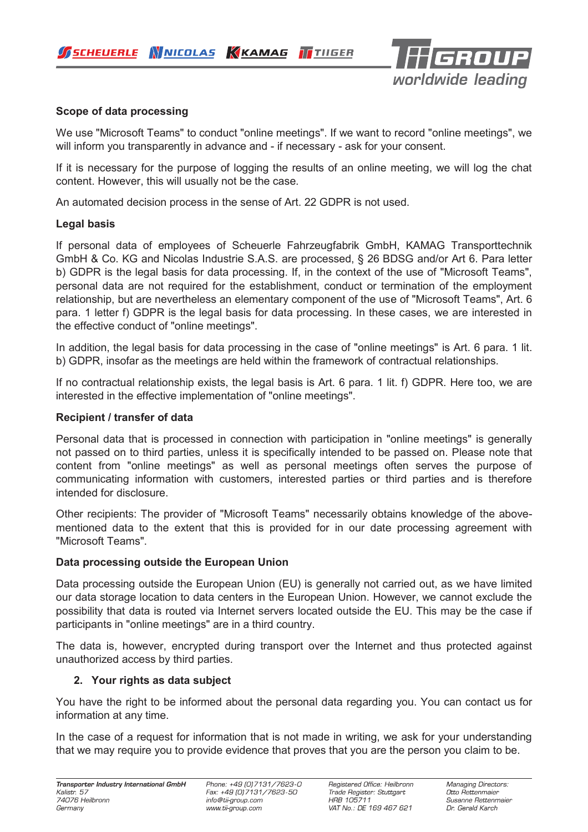SCHEUERLE WNICOLAS KKAMAG TTIIGER



## **Scope of data processing**

We use "Microsoft Teams" to conduct "online meetings". If we want to record "online meetings", we will inform you transparently in advance and - if necessary - ask for your consent.

If it is necessary for the purpose of logging the results of an online meeting, we will log the chat content. However, this will usually not be the case.

An automated decision process in the sense of Art. 22 GDPR is not used.

#### **Legal basis**

If personal data of employees of Scheuerle Fahrzeugfabrik GmbH, KAMAG Transporttechnik GmbH & Co. KG and Nicolas Industrie S.A.S. are processed, § 26 BDSG and/or Art 6. Para letter b) GDPR is the legal basis for data processing. If, in the context of the use of "Microsoft Teams", personal data are not required for the establishment, conduct or termination of the employment relationship, but are nevertheless an elementary component of the use of "Microsoft Teams", Art. 6 para. 1 letter f) GDPR is the legal basis for data processing. In these cases, we are interested in the effective conduct of "online meetings".

In addition, the legal basis for data processing in the case of "online meetings" is Art. 6 para. 1 lit. b) GDPR, insofar as the meetings are held within the framework of contractual relationships.

If no contractual relationship exists, the legal basis is Art. 6 para. 1 lit. f) GDPR. Here too, we are interested in the effective implementation of "online meetings".

#### **Recipient / transfer of data**

Personal data that is processed in connection with participation in "online meetings" is generally not passed on to third parties, unless it is specifically intended to be passed on. Please note that content from "online meetings" as well as personal meetings often serves the purpose of communicating information with customers, interested parties or third parties and is therefore intended for disclosure.

Other recipients: The provider of "Microsoft Teams" necessarily obtains knowledge of the abovementioned data to the extent that this is provided for in our date processing agreement with "Microsoft Teams".

### **Data processing outside the European Union**

Data processing outside the European Union (EU) is generally not carried out, as we have limited our data storage location to data centers in the European Union. However, we cannot exclude the possibility that data is routed via Internet servers located outside the EU. This may be the case if participants in "online meetings" are in a third country.

The data is, however, encrypted during transport over the Internet and thus protected against unauthorized access by third parties.

### **2. Your rights as data subject**

You have the right to be informed about the personal data regarding you. You can contact us for information at any time.

In the case of a request for information that is not made in writing, we ask for your understanding that we may require you to provide evidence that proves that you are the person you claim to be.